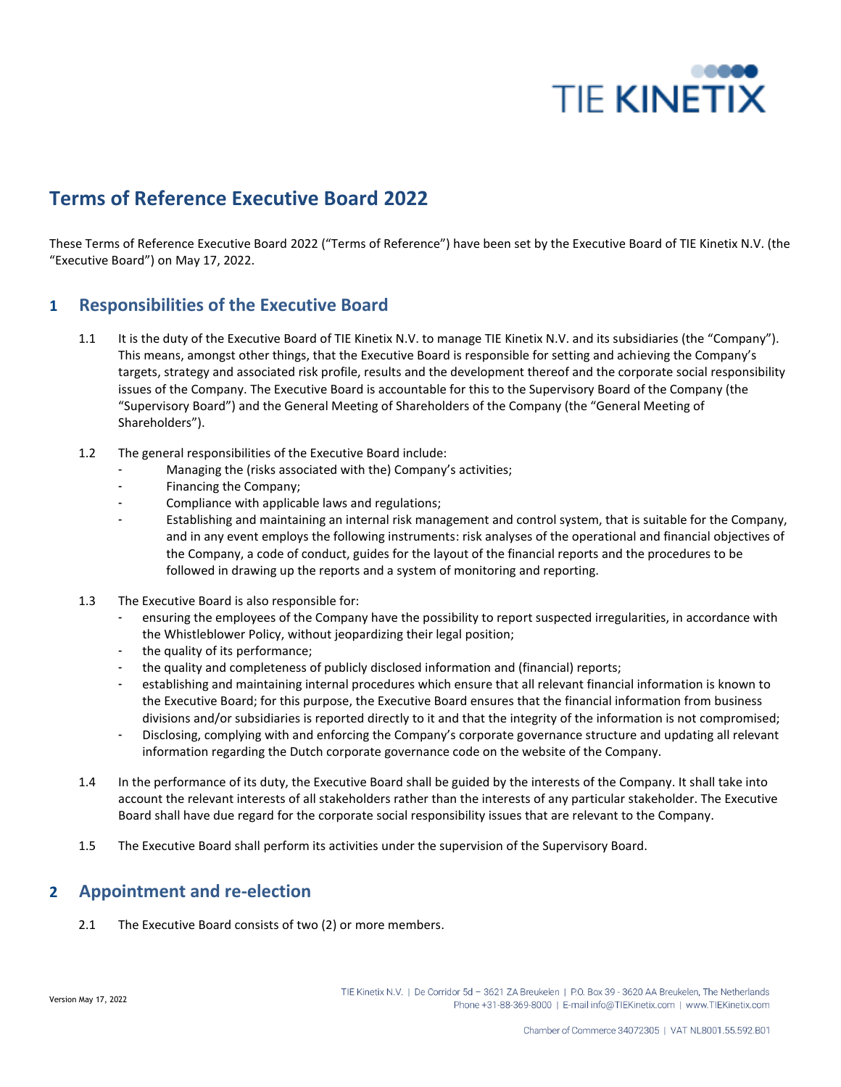

# **Terms of Reference Executive Board 2022**

These Terms of Reference Executive Board 2022 ("Terms of Reference") have been set by the Executive Board of TIE Kinetix N.V. (the "Executive Board") on May 17, 2022.

## **1 Responsibilities of the Executive Board**

- 1.1 It is the duty of the Executive Board of TIE Kinetix N.V. to manage TIE Kinetix N.V. and its subsidiaries (the "Company"). This means, amongst other things, that the Executive Board is responsible for setting and achieving the Company's targets, strategy and associated risk profile, results and the development thereof and the corporate social responsibility issues of the Company. The Executive Board is accountable for this to the Supervisory Board of the Company (the "Supervisory Board") and the General Meeting of Shareholders of the Company (the "General Meeting of Shareholders").
- 1.2 The general responsibilities of the Executive Board include:
	- Managing the (risks associated with the) Company's activities;
	- Financing the Company;
	- Compliance with applicable laws and regulations;
	- Establishing and maintaining an internal risk management and control system, that is suitable for the Company, and in any event employs the following instruments: risk analyses of the operational and financial objectives of the Company, a code of conduct, guides for the layout of the financial reports and the procedures to be followed in drawing up the reports and a system of monitoring and reporting.
- 1.3 The Executive Board is also responsible for:
	- ensuring the employees of the Company have the possibility to report suspected irregularities, in accordance with the Whistleblower Policy, without jeopardizing their legal position;
	- the quality of its performance;
	- the quality and completeness of publicly disclosed information and (financial) reports;
	- establishing and maintaining internal procedures which ensure that all relevant financial information is known to the Executive Board; for this purpose, the Executive Board ensures that the financial information from business divisions and/or subsidiaries is reported directly to it and that the integrity of the information is not compromised;
	- Disclosing, complying with and enforcing the Company's corporate governance structure and updating all relevant information regarding the Dutch corporate governance code on the website of the Company.
- 1.4 In the performance of its duty, the Executive Board shall be guided by the interests of the Company. It shall take into account the relevant interests of all stakeholders rather than the interests of any particular stakeholder. The Executive Board shall have due regard for the corporate social responsibility issues that are relevant to the Company.
- 1.5 The Executive Board shall perform its activities under the supervision of the Supervisory Board.

#### **2 Appointment and re-election**

2.1 The Executive Board consists of two (2) or more members.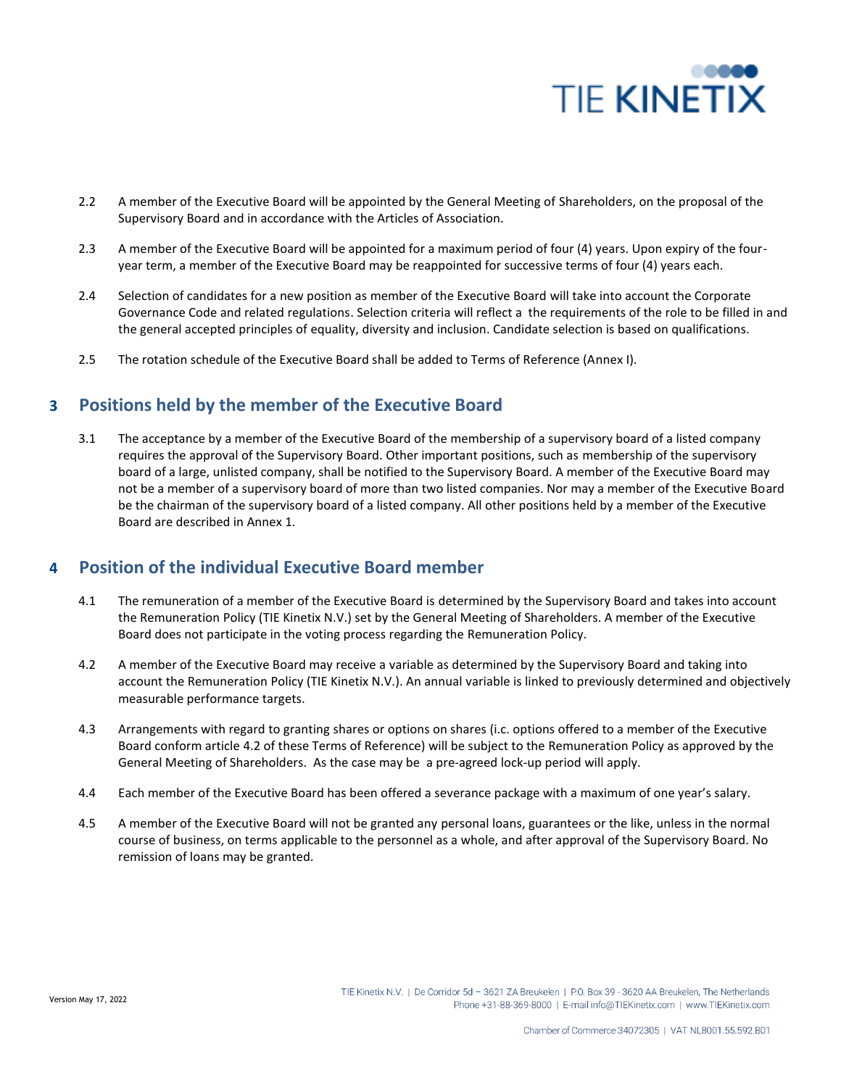

- 2.2 A member of the Executive Board will be appointed by the General Meeting of Shareholders, on the proposal of the Supervisory Board and in accordance with the Articles of Association.
- 2.3 A member of the Executive Board will be appointed for a maximum period of four (4) years. Upon expiry of the fouryear term, a member of the Executive Board may be reappointed for successive terms of four (4) years each.
- 2.4 Selection of candidates for a new position as member of the Executive Board will take into account the Corporate Governance Code and related regulations. Selection criteria will reflect a the requirements of the role to be filled in and the general accepted principles of equality, diversity and inclusion. Candidate selection is based on qualifications.
- 2.5 The rotation schedule of the Executive Board shall be added to Terms of Reference (Annex I).

## **3 Positions held by the member of the Executive Board**

3.1 The acceptance by a member of the Executive Board of the membership of a supervisory board of a listed company requires the approval of the Supervisory Board. Other important positions, such as membership of the supervisory board of a large, unlisted company, shall be notified to the Supervisory Board. A member of the Executive Board may not be a member of a supervisory board of more than two listed companies. Nor may a member of the Executive Board be the chairman of the supervisory board of a listed company. All other positions held by a member of the Executive Board are described in Annex 1.

### **4 Position of the individual Executive Board member**

- 4.1 The remuneration of a member of the Executive Board is determined by the Supervisory Board and takes into account the Remuneration Policy (TIE Kinetix N.V.) set by the General Meeting of Shareholders. A member of the Executive Board does not participate in the voting process regarding the Remuneration Policy.
- 4.2 A member of the Executive Board may receive a variable as determined by the Supervisory Board and taking into account the Remuneration Policy (TIE Kinetix N.V.). An annual variable is linked to previously determined and objectively measurable performance targets.
- 4.3 Arrangements with regard to granting shares or options on shares (i.c. options offered to a member of the Executive Board conform article 4.2 of these Terms of Reference) will be subject to the Remuneration Policy as approved by the General Meeting of Shareholders. As the case may be a pre-agreed lock-up period will apply.
- 4.4 Each member of the Executive Board has been offered a severance package with a maximum of one year's salary.
- 4.5 A member of the Executive Board will not be granted any personal loans, guarantees or the like, unless in the normal course of business, on terms applicable to the personnel as a whole, and after approval of the Supervisory Board. No remission of loans may be granted.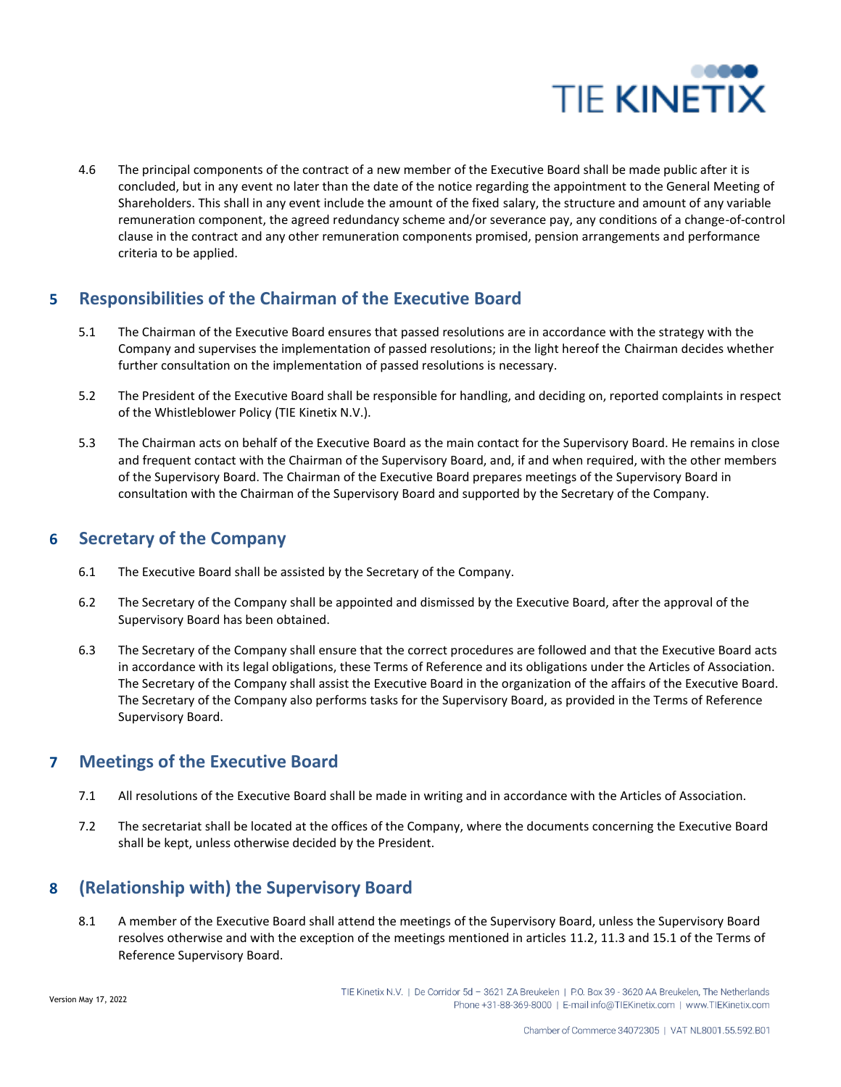

4.6 The principal components of the contract of a new member of the Executive Board shall be made public after it is concluded, but in any event no later than the date of the notice regarding the appointment to the General Meeting of Shareholders. This shall in any event include the amount of the fixed salary, the structure and amount of any variable remuneration component, the agreed redundancy scheme and/or severance pay, any conditions of a change-of-control clause in the contract and any other remuneration components promised, pension arrangements and performance criteria to be applied.

## **5 Responsibilities of the Chairman of the Executive Board**

- 5.1 The Chairman of the Executive Board ensures that passed resolutions are in accordance with the strategy with the Company and supervises the implementation of passed resolutions; in the light hereof the Chairman decides whether further consultation on the implementation of passed resolutions is necessary.
- 5.2 The President of the Executive Board shall be responsible for handling, and deciding on, reported complaints in respect of the Whistleblower Policy (TIE Kinetix N.V.).
- 5.3 The Chairman acts on behalf of the Executive Board as the main contact for the Supervisory Board. He remains in close and frequent contact with the Chairman of the Supervisory Board, and, if and when required, with the other members of the Supervisory Board. The Chairman of the Executive Board prepares meetings of the Supervisory Board in consultation with the Chairman of the Supervisory Board and supported by the Secretary of the Company.

### **6 Secretary of the Company**

- 6.1 The Executive Board shall be assisted by the Secretary of the Company.
- 6.2 The Secretary of the Company shall be appointed and dismissed by the Executive Board, after the approval of the Supervisory Board has been obtained.
- 6.3 The Secretary of the Company shall ensure that the correct procedures are followed and that the Executive Board acts in accordance with its legal obligations, these Terms of Reference and its obligations under the Articles of Association. The Secretary of the Company shall assist the Executive Board in the organization of the affairs of the Executive Board. The Secretary of the Company also performs tasks for the Supervisory Board, as provided in the Terms of Reference Supervisory Board.

### **7 Meetings of the Executive Board**

- 7.1 All resolutions of the Executive Board shall be made in writing and in accordance with the Articles of Association.
- 7.2 The secretariat shall be located at the offices of the Company, where the documents concerning the Executive Board shall be kept, unless otherwise decided by the President.

# **8 (Relationship with) the Supervisory Board**

8.1 A member of the Executive Board shall attend the meetings of the Supervisory Board, unless the Supervisory Board resolves otherwise and with the exception of the meetings mentioned in articles 11.2, 11.3 and 15.1 of the Terms of Reference Supervisory Board.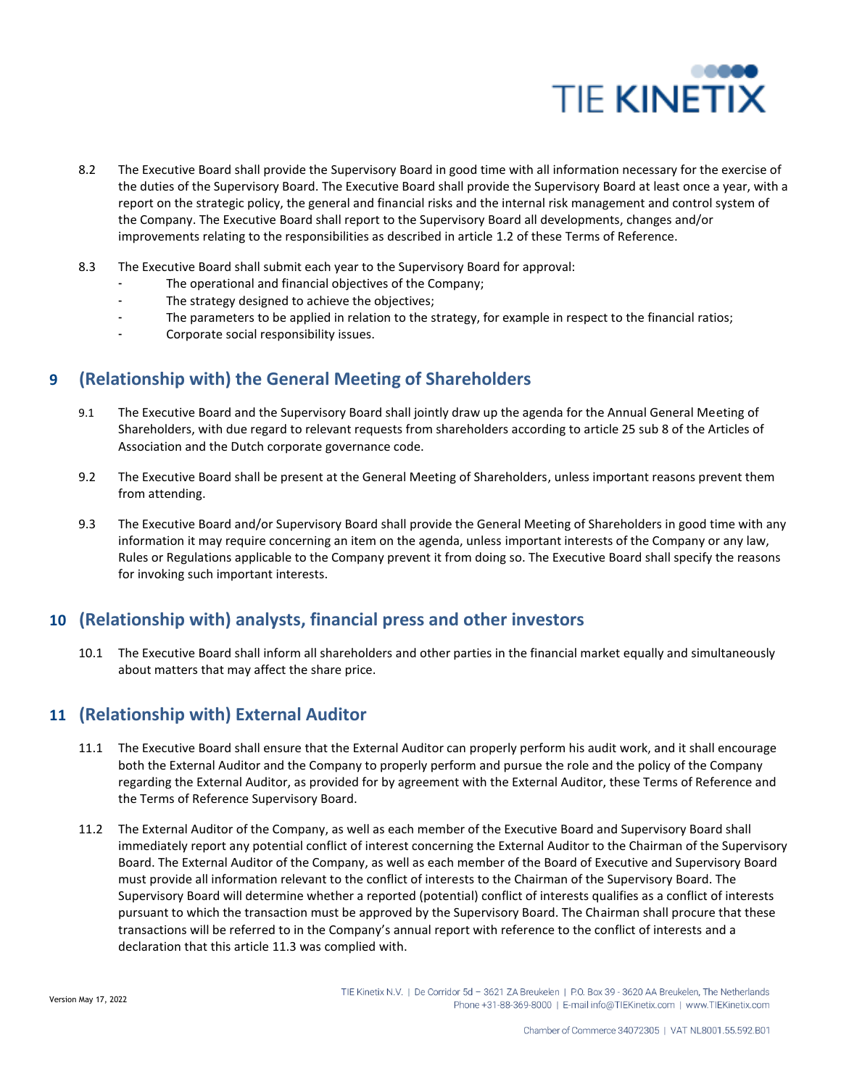

- 8.2 The Executive Board shall provide the Supervisory Board in good time with all information necessary for the exercise of the duties of the Supervisory Board. The Executive Board shall provide the Supervisory Board at least once a year, with a report on the strategic policy, the general and financial risks and the internal risk management and control system of the Company. The Executive Board shall report to the Supervisory Board all developments, changes and/or improvements relating to the responsibilities as described in article 1.2 of these Terms of Reference.
- 8.3 The Executive Board shall submit each year to the Supervisory Board for approval:
	- The operational and financial objectives of the Company;
	- The strategy designed to achieve the objectives;
	- The parameters to be applied in relation to the strategy, for example in respect to the financial ratios;
	- Corporate social responsibility issues.

# **9 (Relationship with) the General Meeting of Shareholders**

- 9.1 The Executive Board and the Supervisory Board shall jointly draw up the agenda for the Annual General Meeting of Shareholders, with due regard to relevant requests from shareholders according to article 25 sub 8 of the Articles of Association and the Dutch corporate governance code.
- 9.2 The Executive Board shall be present at the General Meeting of Shareholders, unless important reasons prevent them from attending.
- 9.3 The Executive Board and/or Supervisory Board shall provide the General Meeting of Shareholders in good time with any information it may require concerning an item on the agenda, unless important interests of the Company or any law, Rules or Regulations applicable to the Company prevent it from doing so. The Executive Board shall specify the reasons for invoking such important interests.

### **10 (Relationship with) analysts, financial press and other investors**

10.1 The Executive Board shall inform all shareholders and other parties in the financial market equally and simultaneously about matters that may affect the share price.

### **11 (Relationship with) External Auditor**

- 11.1 The Executive Board shall ensure that the External Auditor can properly perform his audit work, and it shall encourage both the External Auditor and the Company to properly perform and pursue the role and the policy of the Company regarding the External Auditor, as provided for by agreement with the External Auditor, these Terms of Reference and the Terms of Reference Supervisory Board.
- 11.2 The External Auditor of the Company, as well as each member of the Executive Board and Supervisory Board shall immediately report any potential conflict of interest concerning the External Auditor to the Chairman of the Supervisory Board. The External Auditor of the Company, as well as each member of the Board of Executive and Supervisory Board must provide all information relevant to the conflict of interests to the Chairman of the Supervisory Board. The Supervisory Board will determine whether a reported (potential) conflict of interests qualifies as a conflict of interests pursuant to which the transaction must be approved by the Supervisory Board. The Chairman shall procure that these transactions will be referred to in the Company's annual report with reference to the conflict of interests and a declaration that this article 11.3 was complied with.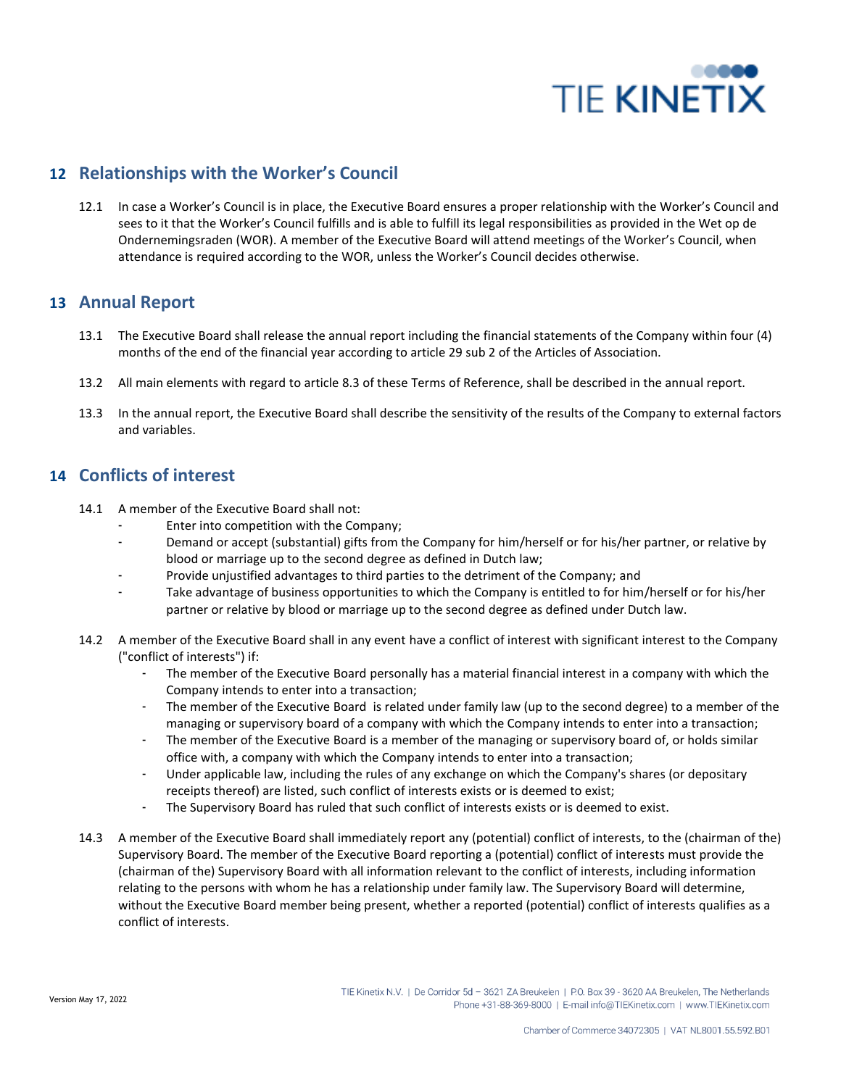

## **12 Relationships with the Worker's Council**

12.1 In case a Worker's Council is in place, the Executive Board ensures a proper relationship with the Worker's Council and sees to it that the Worker's Council fulfills and is able to fulfill its legal responsibilities as provided in the Wet op de Ondernemingsraden (WOR). A member of the Executive Board will attend meetings of the Worker's Council, when attendance is required according to the WOR, unless the Worker's Council decides otherwise.

#### **13 Annual Report**

- 13.1 The Executive Board shall release the annual report including the financial statements of the Company within four (4) months of the end of the financial year according to article 29 sub 2 of the Articles of Association.
- 13.2 All main elements with regard to article 8.3 of these Terms of Reference, shall be described in the annual report.
- 13.3 In the annual report, the Executive Board shall describe the sensitivity of the results of the Company to external factors and variables.

### **14 Conflicts of interest**

- 14.1 A member of the Executive Board shall not:
	- Enter into competition with the Company;
	- Demand or accept (substantial) gifts from the Company for him/herself or for his/her partner, or relative by blood or marriage up to the second degree as defined in Dutch law;
	- Provide unjustified advantages to third parties to the detriment of the Company; and
	- Take advantage of business opportunities to which the Company is entitled to for him/herself or for his/her partner or relative by blood or marriage up to the second degree as defined under Dutch law.
- 14.2 A member of the Executive Board shall in any event have a conflict of interest with significant interest to the Company ("conflict of interests") if:
	- The member of the Executive Board personally has a material financial interest in a company with which the Company intends to enter into a transaction;
	- The member of the Executive Board is related under family law (up to the second degree) to a member of the managing or supervisory board of a company with which the Company intends to enter into a transaction;
	- The member of the Executive Board is a member of the managing or supervisory board of, or holds similar office with, a company with which the Company intends to enter into a transaction;
	- Under applicable law, including the rules of any exchange on which the Company's shares (or depositary receipts thereof) are listed, such conflict of interests exists or is deemed to exist;
	- The Supervisory Board has ruled that such conflict of interests exists or is deemed to exist.
- 14.3 A member of the Executive Board shall immediately report any (potential) conflict of interests, to the (chairman of the) Supervisory Board. The member of the Executive Board reporting a (potential) conflict of interests must provide the (chairman of the) Supervisory Board with all information relevant to the conflict of interests, including information relating to the persons with whom he has a relationship under family law. The Supervisory Board will determine, without the Executive Board member being present, whether a reported (potential) conflict of interests qualifies as a conflict of interests.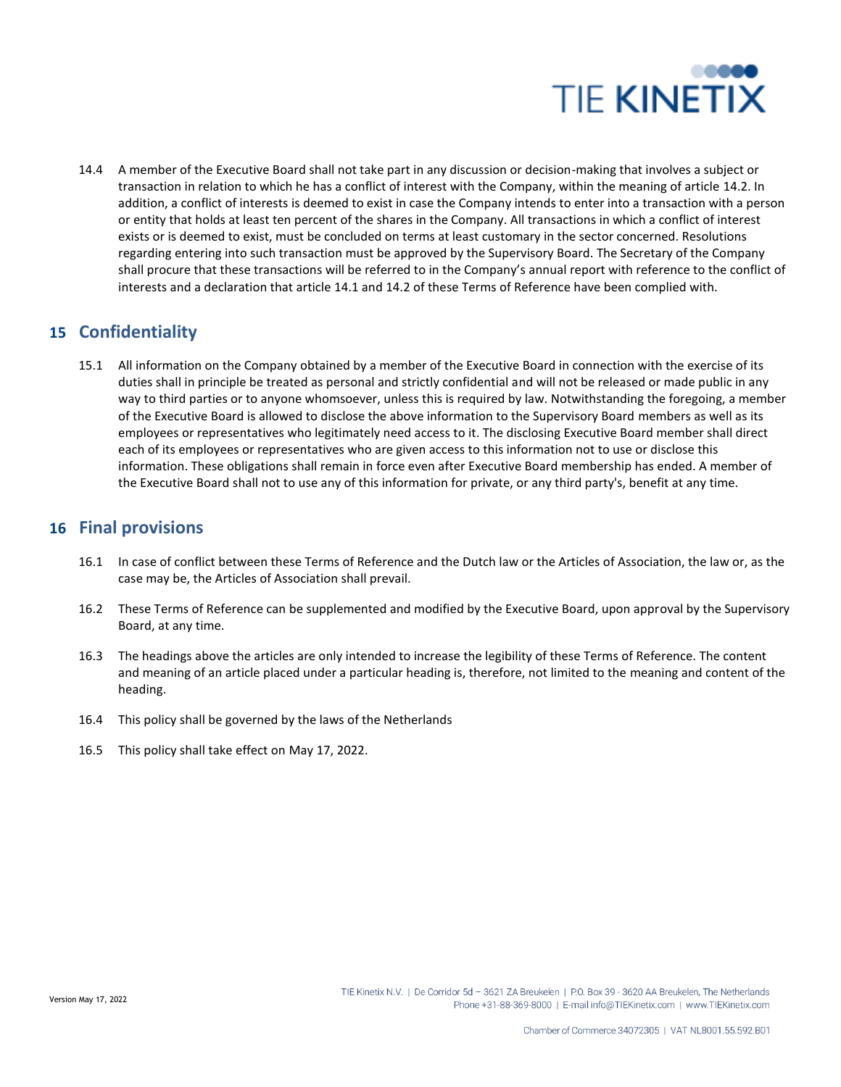

14.4 A member of the Executive Board shall not take part in any discussion or decision-making that involves a subject or transaction in relation to which he has a conflict of interest with the Company, within the meaning of article 14.2. In addition, a conflict of interests is deemed to exist in case the Company intends to enter into a transaction with a person or entity that holds at least ten percent of the shares in the Company. All transactions in which a conflict of interest exists or is deemed to exist, must be concluded on terms at least customary in the sector concerned. Resolutions regarding entering into such transaction must be approved by the Supervisory Board. The Secretary of the Company shall procure that these transactions will be referred to in the Company's annual report with reference to the conflict of interests and a declaration that article 14.1 and 14.2 of these Terms of Reference have been complied with.

### **15 Confidentiality**

15.1 All information on the Company obtained by a member of the Executive Board in connection with the exercise of its duties shall in principle be treated as personal and strictly confidential and will not be released or made public in any way to third parties or to anyone whomsoever, unless this is required by law. Notwithstanding the foregoing, a member of the Executive Board is allowed to disclose the above information to the Supervisory Board members as well as its employees or representatives who legitimately need access to it. The disclosing Executive Board member shall direct each of its employees or representatives who are given access to this information not to use or disclose this information. These obligations shall remain in force even after Executive Board membership has ended. A member of the Executive Board shall not to use any of this information for private, or any third party's, benefit at any time.

#### **16 Final provisions**

- 16.1 In case of conflict between these Terms of Reference and the Dutch law or the Articles of Association, the law or, as the case may be, the Articles of Association shall prevail.
- 16.2 These Terms of Reference can be supplemented and modified by the Executive Board, upon approval by the Supervisory Board, at any time.
- 16.3 The headings above the articles are only intended to increase the legibility of these Terms of Reference. The content and meaning of an article placed under a particular heading is, therefore, not limited to the meaning and content of the heading.
- 16.4 This policy shall be governed by the laws of the Netherlands
- 16.5 This policy shall take effect on May 17, 2022.